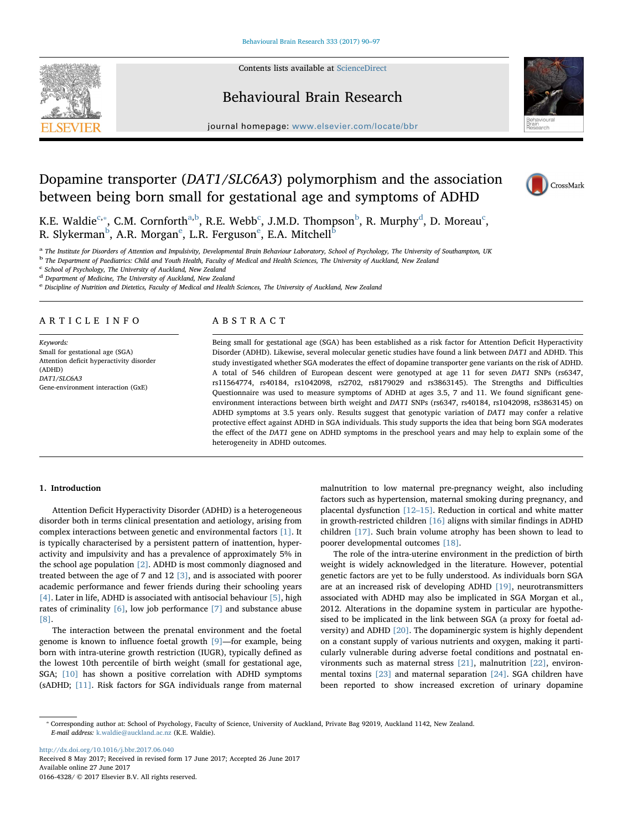Contents lists available at [ScienceDirect](http://www.sciencedirect.com/science/journal/01664328)



## Behavioural Brain Research



 $j<sub>i</sub>$ , where  $i<sub>i</sub>$  is equal to the complete  $b<sub>i</sub>$ 

# Dopamine transporter (DAT1/SLC6A3) polymorphism and the association between being born small for gestational age and symptoms of ADHD



K.E. Wal[d](#page-0-4)ie $^{\rm c, *},$  $^{\rm c, *},$  $^{\rm c, *},$  C.M. Cornforth $^{\rm a,b}$  $^{\rm a,b}$  $^{\rm a,b}$  $^{\rm a,b}$ , R.E. Webb $^{\rm c}$ , J.M.D. Thompson $^{\rm b}$ , R. Murphy $^{\rm d}$ , D. Moreau $^{\rm c}$ , R. Slykerman<sup>[b](#page-0-3)</sup>, A.R. Morgan<sup>[e](#page-0-5)</sup>, L.R. Ferguson<sup>e</sup>, E.A. Mitchell<sup>b</sup>

<span id="page-0-2"></span>a The Institute for Disorders of Attention and Impulsivity, Developmental Brain Behaviour Laboratory, School of Psychology, The University of Southampton, UK

<span id="page-0-3"></span><sup>b</sup> The Department of Paediatrics: Child and Youth Health, Faculty of Medical and Health Sciences, The University of Auckland, New Zealand

<span id="page-0-0"></span><sup>c</sup> School of Psychology, The University of Auckland, New Zealand

<span id="page-0-4"></span><sup>d</sup> Department of Medicine, The University of Auckland, New Zealand

<span id="page-0-5"></span><sup>e</sup> Discipline of Nutrition and Dietetics, Faculty of Medical and Health Sciences, The University of Auckland, New Zealand

## ARTICLE INFO

Keywords: Small for gestational age (SGA) Attention deficit hyperactivity disorder (ADHD) DAT1/SLC6A3 Gene-environment interaction (GxE)

## ABSTRACT

Being small for gestational age (SGA) has been established as a risk factor for Attention Deficit Hyperactivity Disorder (ADHD). Likewise, several molecular genetic studies have found a link between DAT1 and ADHD. This study investigated whether SGA moderates the effect of dopamine transporter gene variants on the risk of ADHD. A total of 546 children of European descent were genotyped at age 11 for seven DAT1 SNPs (rs6347, rs11564774, rs40184, rs1042098, rs2702, rs8179029 and rs3863145). The Strengths and Difficulties Questionnaire was used to measure symptoms of ADHD at ages 3.5, 7 and 11. We found significant geneenvironment interactions between birth weight and DAT1 SNPs (rs6347, rs40184, rs1042098, rs3863145) on ADHD symptoms at 3.5 years only. Results suggest that genotypic variation of DAT1 may confer a relative protective effect against ADHD in SGA individuals. This study supports the idea that being born SGA moderates the effect of the DAT1 gene on ADHD symptoms in the preschool years and may help to explain some of the heterogeneity in ADHD outcomes.

#### 1. Introduction

Attention Deficit Hyperactivity Disorder (ADHD) is a heterogeneous disorder both in terms clinical presentation and aetiology, arising from complex interactions between genetic and environmental factors [\[1\].](#page-6-0) It is typically characterised by a persistent pattern of inattention, hyperactivity and impulsivity and has a prevalence of approximately 5% in the school age population [\[2\]](#page-6-1). ADHD is most commonly diagnosed and treated between the age of 7 and 12 [\[3\]](#page-6-2), and is associated with poorer academic performance and fewer friends during their schooling years [\[4\].](#page-6-3) Later in life, ADHD is associated with antisocial behaviour [\[5\],](#page-6-4) high rates of criminality [\[6\],](#page-6-5) low job performance [\[7\]](#page-6-6) and substance abuse [\[8\].](#page-6-7)

The interaction between the prenatal environment and the foetal genome is known to influence foetal growth [\[9\]](#page-6-8)—for example, being born with intra-uterine growth restriction (IUGR), typically defined as the lowest 10th percentile of birth weight (small for gestational age, SGA; [\[10\]](#page-6-9) has shown a positive correlation with ADHD symptoms (sADHD; [\[11\].](#page-6-10) Risk factors for SGA individuals range from maternal

malnutrition to low maternal pre-pregnancy weight, also including factors such as hypertension, maternal smoking during pregnancy, and placental dysfunction [12–[15\]](#page-6-11). Reduction in cortical and white matter in growth-restricted children [\[16\]](#page-6-12) aligns with similar findings in ADHD children [\[17\].](#page-6-13) Such brain volume atrophy has been shown to lead to poorer developmental outcomes [\[18\]](#page-6-14).

The role of the intra-uterine environment in the prediction of birth weight is widely acknowledged in the literature. However, potential genetic factors are yet to be fully understood. As individuals born SGA are at an increased risk of developing ADHD [\[19\]](#page-6-15), neurotransmitters associated with ADHD may also be implicated in SGA Morgan et al., 2012. Alterations in the dopamine system in particular are hypothesised to be implicated in the link between SGA (a proxy for foetal adversity) and ADHD [\[20\]](#page-6-16). The dopaminergic system is highly dependent on a constant supply of various nutrients and oxygen, making it particularly vulnerable during adverse foetal conditions and postnatal environments such as maternal stress [\[21\]](#page-6-17), malnutrition [\[22\]](#page-6-18), environmental toxins [\[23\]](#page-6-19) and maternal separation [\[24\].](#page-6-20) SGA children have been reported to show increased excretion of urinary dopamine

<http://dx.doi.org/10.1016/j.bbr.2017.06.040> Received 8 May 2017; Received in revised form 17 June 2017; Accepted 26 June 2017 Available online 27 June 2017 0166-4328/ © 2017 Elsevier B.V. All rights reserved.

<span id="page-0-1"></span><sup>⁎</sup> Corresponding author at: School of Psychology, Faculty of Science, University of Auckland, Private Bag 92019, Auckland 1142, New Zealand. E-mail address: [k.waldie@auckland.ac.nz](mailto:k.waldie@auckland.ac.nz) (K.E. Waldie).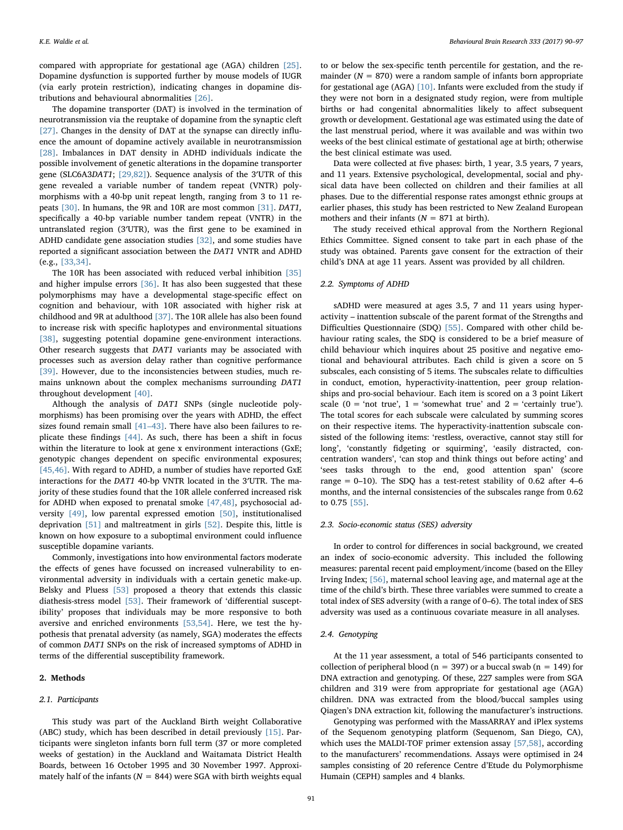compared with appropriate for gestational age (AGA) children [\[25\]](#page-6-21). Dopamine dysfunction is supported further by mouse models of IUGR (via early protein restriction), indicating changes in dopamine distributions and behavioural abnormalities [\[26\].](#page-6-22)

The dopamine transporter (DAT) is involved in the termination of neurotransmission via the reuptake of dopamine from the synaptic cleft [\[27\]](#page-6-23). Changes in the density of DAT at the synapse can directly influence the amount of dopamine actively available in neurotransmission [\[28\]](#page-6-24). Imbalances in DAT density in ADHD individuals indicate the possible involvement of genetic alterations in the dopamine transporter gene (SLC6A3DAT1; [\[29,82\]](#page-6-25)). Sequence analysis of the 3′UTR of this gene revealed a variable number of tandem repeat (VNTR) polymorphisms with a 40-bp unit repeat length, ranging from 3 to 11 repeats [\[30\]](#page-6-26). In humans, the 9R and 10R are most common [\[31\].](#page-6-27) DAT1, specifically a 40-bp variable number tandem repeat (VNTR) in the untranslated region (3′UTR), was the first gene to be examined in ADHD candidate gene association studies [\[32\]](#page-6-28), and some studies have reported a significant association between the DAT1 VNTR and ADHD (e.g., [\[33,34\].](#page-6-29)

The 10R has been associated with reduced verbal inhibition [\[35\]](#page-6-30) and higher impulse errors [\[36\]](#page-6-31). It has also been suggested that these polymorphisms may have a developmental stage-specific effect on cognition and behaviour, with 10R associated with higher risk at childhood and 9R at adulthood [\[37\].](#page-6-32) The 10R allele has also been found to increase risk with specific haplotypes and environmental situations [\[38\]](#page-6-33), suggesting potential dopamine gene-environment interactions. Other research suggests that DAT1 variants may be associated with processes such as aversion delay rather than cognitive performance [\[39\]](#page-6-34). However, due to the inconsistencies between studies, much remains unknown about the complex mechanisms surrounding DAT1 throughout development [\[40\].](#page-6-35)

Although the analysis of DAT1 SNPs (single nucleotide polymorphisms) has been promising over the years with ADHD, the effect sizes found remain small [41–[43\]](#page-6-36). There have also been failures to replicate these findings [\[44\].](#page-6-37) As such, there has been a shift in focus within the literature to look at gene x environment interactions (GxE; genotypic changes dependent on specific environmental exposures; [\[45,46\].](#page-6-38) With regard to ADHD, a number of studies have reported GxE interactions for the DAT1 40-bp VNTR located in the 3′UTR. The majority of these studies found that the 10R allele conferred increased risk for ADHD when exposed to prenatal smoke [\[47,48\],](#page-7-0) psychosocial adversity [\[49\]](#page-7-1), low parental expressed emotion [\[50\]](#page-7-2), institutionalised deprivation [\[51\]](#page-7-3) and maltreatment in girls [\[52\].](#page-7-4) Despite this, little is known on how exposure to a suboptimal environment could influence susceptible dopamine variants.

Commonly, investigations into how environmental factors moderate the effects of genes have focussed on increased vulnerability to environmental adversity in individuals with a certain genetic make-up. Belsky and Pluess [\[53\]](#page-7-5) proposed a theory that extends this classic diathesis-stress model [\[53\]](#page-7-5). Their framework of 'differential susceptibility' proposes that individuals may be more responsive to both aversive and enriched environments [\[53,54\].](#page-7-5) Here, we test the hypothesis that prenatal adversity (as namely, SGA) moderates the effects of common DAT1 SNPs on the risk of increased symptoms of ADHD in terms of the differential susceptibility framework.

## 2. Methods

#### 2.1. Participants

This study was part of the Auckland Birth weight Collaborative (ABC) study, which has been described in detail previously  $[15]$ . Participants were singleton infants born full term (37 or more completed weeks of gestation) in the Auckland and Waitamata District Health Boards, between 16 October 1995 and 30 November 1997. Approximately half of the infants ( $N = 844$ ) were SGA with birth weights equal to or below the sex-specific tenth percentile for gestation, and the remainder ( $N = 870$ ) were a random sample of infants born appropriate for gestational age (AGA) [\[10\]](#page-6-9). Infants were excluded from the study if they were not born in a designated study region, were from multiple births or had congenital abnormalities likely to affect subsequent growth or development. Gestational age was estimated using the date of the last menstrual period, where it was available and was within two weeks of the best clinical estimate of gestational age at birth; otherwise the best clinical estimate was used.

Data were collected at five phases: birth, 1 year, 3.5 years, 7 years, and 11 years. Extensive psychological, developmental, social and physical data have been collected on children and their families at all phases. Due to the differential response rates amongst ethnic groups at earlier phases, this study has been restricted to New Zealand European mothers and their infants ( $N = 871$  at birth).

The study received ethical approval from the Northern Regional Ethics Committee. Signed consent to take part in each phase of the study was obtained. Parents gave consent for the extraction of their child's DNA at age 11 years. Assent was provided by all children.

#### 2.2. Symptoms of ADHD

sADHD were measured at ages 3.5, 7 and 11 years using hyperactivity – inattention subscale of the parent format of the Strengths and Difficulties Questionnaire (SDQ) [\[55\].](#page-7-6) Compared with other child behaviour rating scales, the SDQ is considered to be a brief measure of child behaviour which inquires about 25 positive and negative emotional and behavioural attributes. Each child is given a score on 5 subscales, each consisting of 5 items. The subscales relate to difficulties in conduct, emotion, hyperactivity-inattention, peer group relationships and pro-social behaviour. Each item is scored on a 3 point Likert scale ( $0 = \text{`not true'}, 1 = \text{`somewhat true' and } 2 = \text{`certainly true'}.$ The total scores for each subscale were calculated by summing scores on their respective items. The hyperactivity-inattention subscale consisted of the following items: 'restless, overactive, cannot stay still for long', 'constantly fidgeting or squirming', 'easily distracted, concentration wanders', 'can stop and think things out before acting' and 'sees tasks through to the end, good attention span' (score range =  $0-10$ ). The SDQ has a test-retest stability of 0.62 after 4–6 months, and the internal consistencies of the subscales range from 0.62 to 0.75 [\[55\]](#page-7-6).

#### 2.3. Socio-economic status (SES) adversity

In order to control for differences in social background, we created an index of socio-economic adversity. This included the following measures: parental recent paid employment/income (based on the Elley Irving Index; [\[56\]](#page-7-7), maternal school leaving age, and maternal age at the time of the child's birth. These three variables were summed to create a total index of SES adversity (with a range of 0–6). The total index of SES adversity was used as a continuous covariate measure in all analyses.

## 2.4. Genotyping

At the 11 year assessment, a total of 546 participants consented to collection of peripheral blood (n = 397) or a buccal swab (n = 149) for DNA extraction and genotyping. Of these, 227 samples were from SGA children and 319 were from appropriate for gestational age (AGA) children. DNA was extracted from the blood/buccal samples using Qiagen's DNA extraction kit, following the manufacturer's instructions.

Genotyping was performed with the MassARRAY and iPlex systems of the Sequenom genotyping platform (Sequenom, San Diego, CA), which uses the MALDI-TOF primer extension assay [\[57,58\]](#page-7-8), according to the manufacturers' recommendations. Assays were optimised in 24 samples consisting of 20 reference Centre d'Etude du Polymorphisme Humain (CEPH) samples and 4 blanks.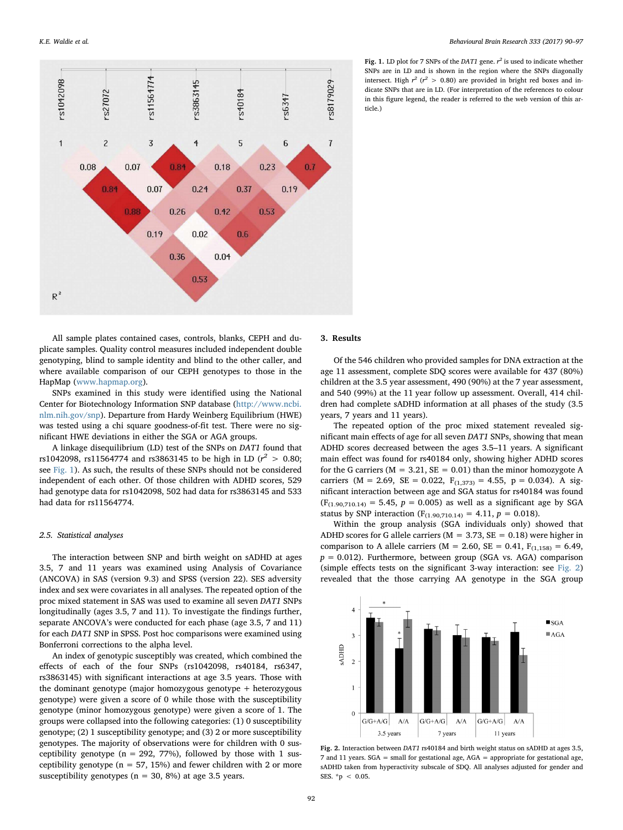<span id="page-2-0"></span>

Fig. 1. LD plot for 7 SNPs of the DAT1 gene.  $r^2$  is used to indicate whether SNPs are in LD and is shown in the region where the SNPs diagonally intersect. High  $r^2$  ( $r^2 > 0.80$ ) are provided in bright red boxes and indicate SNPs that are in LD. (For interpretation of the references to colour in this figure legend, the reader is referred to the web version of this article.)

All sample plates contained cases, controls, blanks, CEPH and duplicate samples. Quality control measures included independent double genotyping, blind to sample identity and blind to the other caller, and where available comparison of our CEPH genotypes to those in the HapMap [\(www.hapmap.org](http://www.hapmap.org)).

SNPs examined in this study were identified using the National Center for Biotechnology Information SNP database ([http://www.ncbi.](http://www.ncbi.nlm.nih.gov/snp) [nlm.nih.gov/snp](http://www.ncbi.nlm.nih.gov/snp)). Departure from Hardy Weinberg Equilibrium (HWE) was tested using a chi square goodness-of-fit test. There were no significant HWE deviations in either the SGA or AGA groups.

A linkage disequilibrium (LD) test of the SNPs on DAT1 found that rs1042098, rs11564774 and rs3863145 to be high in LD ( $r^2 > 0.80$ ; see [Fig. 1](#page-2-0)). As such, the results of these SNPs should not be considered independent of each other. Of those children with ADHD scores, 529 had genotype data for rs1042098, 502 had data for rs3863145 and 533 had data for rs11564774.

#### 2.5. Statistical analyses

The interaction between SNP and birth weight on sADHD at ages 3.5, 7 and 11 years was examined using Analysis of Covariance (ANCOVA) in SAS (version 9.3) and SPSS (version 22). SES adversity index and sex were covariates in all analyses. The repeated option of the proc mixed statement in SAS was used to examine all seven DAT1 SNPs longitudinally (ages 3.5, 7 and 11). To investigate the findings further, separate ANCOVA's were conducted for each phase (age 3.5, 7 and 11) for each DAT1 SNP in SPSS. Post hoc comparisons were examined using Bonferroni corrections to the alpha level.

An index of genotypic susceptibly was created, which combined the effects of each of the four SNPs (rs1042098, rs40184, rs6347, rs3863145) with significant interactions at age 3.5 years. Those with the dominant genotype (major homozygous genotype + heterozygous genotype) were given a score of 0 while those with the susceptibility genotype (minor homozygous genotype) were given a score of 1. The groups were collapsed into the following categories: (1) 0 susceptibility genotype; (2) 1 susceptibility genotype; and (3) 2 or more susceptibility genotypes. The majority of observations were for children with 0 susceptibility genotype ( $n = 292, 77%$ ), followed by those with 1 susceptibility genotype ( $n = 57, 15\%$ ) and fewer children with 2 or more susceptibility genotypes ( $n = 30, 8\%$ ) at age 3.5 years.

## 3. Results

Of the 546 children who provided samples for DNA extraction at the age 11 assessment, complete SDQ scores were available for 437 (80%) children at the 3.5 year assessment, 490 (90%) at the 7 year assessment, and 540 (99%) at the 11 year follow up assessment. Overall, 414 children had complete sADHD information at all phases of the study (3.5 years, 7 years and 11 years).

The repeated option of the proc mixed statement revealed significant main effects of age for all seven DAT1 SNPs, showing that mean ADHD scores decreased between the ages 3.5–11 years. A significant main effect was found for rs40184 only, showing higher ADHD scores for the G carriers ( $M = 3.21$ ,  $SE = 0.01$ ) than the minor homozygote A carriers (M = 2.69, SE = 0.022,  $F_{(1,373)} = 4.55$ , p = 0.034). A significant interaction between age and SGA status for rs40184 was found  $(F_{(1.90,710,14)} = 5.45, p = 0.005)$  as well as a significant age by SGA status by SNP interaction ( $F_{(1.90,710.14)} = 4.11$ ,  $p = 0.018$ ).

Within the group analysis (SGA individuals only) showed that ADHD scores for G allele carriers ( $M = 3.73$ ,  $SE = 0.18$ ) were higher in comparison to A allele carriers ( $M = 2.60$ ,  $SE = 0.41$ ,  $F_{(1,158)} = 6.49$ ,  $p = 0.012$ ). Furthermore, between group (SGA vs. AGA) comparison (simple effects tests on the significant 3-way interaction: see [Fig. 2\)](#page-2-1) revealed that the those carrying AA genotype in the SGA group

<span id="page-2-1"></span>

Fig. 2. Interaction between DAT1 rs40184 and birth weight status on sADHD at ages 3.5, 7 and 11 years. SGA = small for gestational age, AGA = appropriate for gestational age, sADHD taken from hyperactivity subscale of SDQ. All analyses adjusted for gender and SES. \*p < 0.05.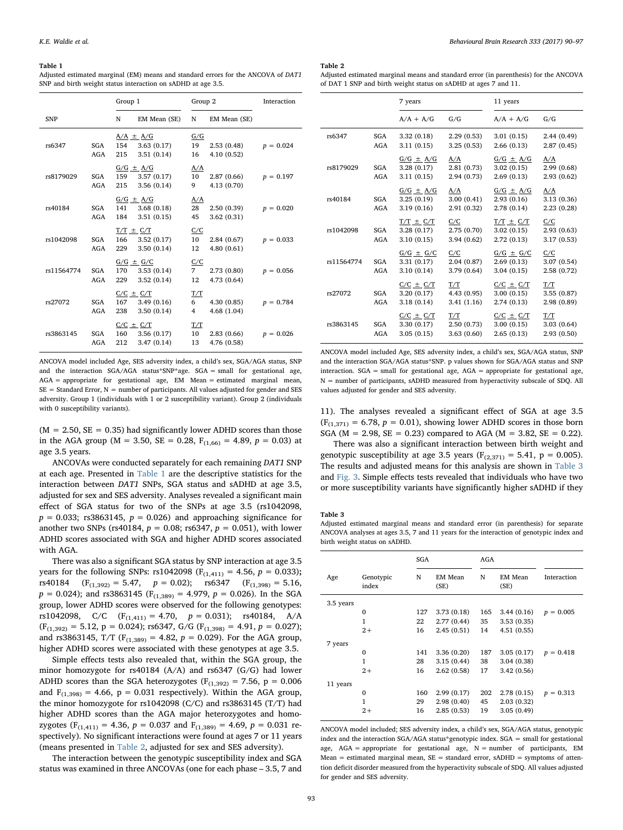#### <span id="page-3-0"></span>Table 1

Adjusted estimated marginal (EM) means and standard errors for the ANCOVA of DAT1 SNP and birth weight status interaction on sADHD at age 3.5.

|            |            | Group 1           |               | Group 2 |              | Interaction |
|------------|------------|-------------------|---------------|---------|--------------|-------------|
| <b>SNP</b> |            | N                 | EM Mean (SE)  | N       | EM Mean (SE) |             |
|            |            |                   | $A/A \pm A/G$ | G/G     |              |             |
| rs6347     | SGA        | 154               | 3.63(0.17)    | 19      | 2.53(0.48)   | $p = 0.024$ |
|            | AGA        | 215               | 3.51(0.14)    | 16      | 4.10(0.52)   |             |
|            |            |                   | $G/G \pm A/G$ | A/A     |              |             |
| rs8179029  | SGA        | 159               | 3.57(0.17)    | 10      | 2.87(0.66)   | $p = 0.197$ |
|            | AGA        | 215               | 3.56(0.14)    | 9       | 4.13(0.70)   |             |
|            |            |                   | $G/G \pm A/G$ | A/A     |              |             |
| rs40184    | SGA        | 141               | 3.68(0.18)    | 28      | 2.50(0.39)   | $p = 0.020$ |
|            | AGA        | 184               | 3.51(0.15)    | 45      | 3.62(0.31)   |             |
|            |            |                   | $T/T \pm C/T$ | C/C     |              |             |
| rs1042098  | SGA        | 166               | 3.52(0.17)    | 10      | 2.84(0.67)   | $p = 0.033$ |
|            | AGA        | 229               | 3.50(0.14)    | 12      | 4.80(0.61)   |             |
|            |            |                   | $G/G \pm G/C$ | C/C     |              |             |
| rs11564774 | SGA        | 170               | 3.53(0.14)    | 7       | 2.73(0.80)   | $p = 0.056$ |
|            | <b>AGA</b> | 229               | 3.52(0.14)    | 12      | 4.73 (0.64)  |             |
|            |            |                   | $C/C \pm C/T$ | T/T     |              |             |
| rs27072    | <b>SGA</b> | 167               | 3.49(0.16)    | 6       | 4.30(0.85)   | $p = 0.784$ |
|            | AGA        | 238               | 3.50(0.14)    | 4       | 4.68(1.04)   |             |
|            |            | $C/C$ $\pm$ $C/T$ |               | T/T     |              |             |
| rs3863145  | SGA        | 160               | 3.56(0.17)    | 10      | 2.83(0.66)   | $p = 0.026$ |
|            | <b>AGA</b> | 212               | 3.47(0.14)    | 13      | 4.76 (0.58)  |             |

ANCOVA model included Age, SES adversity index, a child's sex, SGA/AGA status, SNP and the interaction SGA/AGA status\*SNP\*age. SGA = small for gestational age, AGA = appropriate for gestational age, EM Mean = estimated marginal mean,  $SE = Standard Error, N = number of participants. All values adjusted for gender and SES$ adversity. Group 1 (individuals with 1 or 2 susceptibility variant). Group 2 (individuals with 0 susceptibility variants).

 $(M = 2.50, SE = 0.35)$  had significantly lower ADHD scores than those in the AGA group (M = 3.50, SE = 0.28,  $F_{(1,66)} = 4.89$ ,  $p = 0.03$ ) at age 3.5 years.

ANCOVAs were conducted separately for each remaining DAT1 SNP at each age. Presented in [Table 1](#page-3-0) are the descriptive statistics for the interaction between DAT1 SNPs, SGA status and sADHD at age 3.5, adjusted for sex and SES adversity. Analyses revealed a significant main effect of SGA status for two of the SNPs at age 3.5 (rs1042098,  $p = 0.033$ ; rs3863145,  $p = 0.026$ ) and approaching significance for another two SNPs (rs40184,  $p = 0.08$ ; rs6347,  $p = 0.051$ ), with lower ADHD scores associated with SGA and higher ADHD scores associated with AGA.

There was also a significant SGA status by SNP interaction at age 3.5 years for the following SNPs: rs1042098 ( $F_{(1,411)} = 4.56$ ,  $p = 0.033$ ); rs40184  $(F_{(1,392)} = 5.47, p = 0.02);$  rs6347  $(F_{(1,398)} = 5.16,$  $p = 0.024$ ); and rs3863145 (F<sub>(1,389)</sub> = 4.979,  $p = 0.026$ ). In the SGA group, lower ADHD scores were observed for the following genotypes: rs1042098, C/C  $(F_{(1,411)} = 4.70, p = 0.031)$ ; rs40184, A/A  $(F<sub>(1,392)</sub> = 5.12, p = 0.024);$  rs6347, G/G  $(F<sub>(1,398)</sub> = 4.91, p = 0.027);$ and rs3863145, T/T ( $F_{(1,389)} = 4.82$ ,  $p = 0.029$ ). For the AGA group, higher ADHD scores were associated with these genotypes at age 3.5.

Simple effects tests also revealed that, within the SGA group, the minor homozygote for rs40184 (A/A) and rs6347 (G/G) had lower ADHD scores than the SGA heterozygotes ( $F_{(1,392)} = 7.56$ ,  $p = 0.006$ and  $F_{(1,398)} = 4.66$ ,  $p = 0.031$  respectively). Within the AGA group, the minor homozygote for rs1042098 (C/C) and rs3863145 (T/T) had higher ADHD scores than the AGA major heterozygotes and homozygotes ( $F_{(1,411)} = 4.36$ ,  $p = 0.037$  and  $F_{(1,389)} = 4.69$ ,  $p = 0.031$  respectively). No significant interactions were found at ages 7 or 11 years (means presented in [Table 2,](#page-3-1) adjusted for sex and SES adversity).

The interaction between the genotypic susceptibility index and SGA status was examined in three ANCOVAs (one for each phase – 3.5, 7 and

#### <span id="page-3-1"></span>Table 2

Adjusted estimated marginal means and standard error (in parenthesis) for the ANCOVA of DAT 1 SNP and birth weight status on sADHD at ages 7 and 11.

|            |                   | 7 years                                   |                                   | 11 years                                  |                                  |  |
|------------|-------------------|-------------------------------------------|-----------------------------------|-------------------------------------------|----------------------------------|--|
|            |                   | $A/A + A/G$                               | G/G                               | $A/A + A/G$                               | G/G                              |  |
| rs6347     | SGA<br><b>AGA</b> | 3.32(0.18)<br>3.11(0.15)                  | 2.29(0.53)<br>3.25(0.53)          | 3.01(0.15)<br>2.66(0.13)                  | 2.44(0.49)<br>2.87(0.45)         |  |
| rs8179029  | SGA<br><b>AGA</b> | $G/G \pm A/G$<br>3.28(0.17)<br>3.11(0.15) | A/A<br>2.81 (0.73)<br>2.94 (0.73) | $G/G \pm A/G$<br>3.02(0.15)<br>2.69(0.13) | A/A<br>2.99(0.68)<br>2.93(0.62)  |  |
| rs40184    | SGA<br><b>AGA</b> | $G/G \pm A/G$<br>3.25(0.19)<br>3.19(0.16) | A/A<br>3.00(0.41)<br>2.91 (0.32)  | $G/G \pm A/G$<br>2.93(0.16)<br>2.78(0.14) | A/A<br>3.13(0.36)<br>2.23(0.28)  |  |
| rs1042098  | SGA<br><b>AGA</b> | $T/T \pm C/T$<br>3.28(0.17)<br>3.10(0.15) | C/C<br>2.75 (0.70)<br>3.94(0.62)  | $T/T \pm C/T$<br>3.02(0.15)<br>2.72(0.13) | C/C<br>2.93(0.63)<br>3.17(0.53)  |  |
| rs11564774 | SGA<br><b>AGA</b> | $G/G \pm G/C$<br>3.31(0.17)<br>3.10(0.14) | C/C<br>2.04(0.87)<br>3.79(0.64)   | $G/G \pm G/C$<br>2.69(0.13)<br>3.04(0.15) | C/C<br>3.07(0.54)<br>2.58 (0.72) |  |
| rs27072    | SGA<br><b>AGA</b> | $C/C \pm C/T$<br>3.20(0.17)<br>3.18(0.14) | T/T<br>4.43 (0.95)<br>3.41(1.16)  | $C/C \pm C/T$<br>3.00(0.15)<br>2.74(0.13) | T/T<br>3.55(0.87)<br>2.98 (0.89) |  |
| rs3863145  | SGA<br><b>AGA</b> | $C/C \pm C/T$<br>3.30(0.17)<br>3.05(0.15) | T/T<br>2.50(0.73)<br>3.63(0.60)   | $C/C \pm C/T$<br>3.00(0.15)<br>2.65(0.13) | T/T<br>3.03(0.64)<br>2.93(0.50)  |  |

ANCOVA model included Age, SES adversity index, a child's sex, SGA/AGA status, SNP and the interaction SGA/AGA status\*SNP. p values shown for SGA/AGA status and SNP interaction. SGA = small for gestational age, AGA = appropriate for gestational age, N = number of participants, sADHD measured from hyperactivity subscale of SDQ. All values adjusted for gender and SES adversity.

11). The analyses revealed a significant effect of SGA at age 3.5  $(F<sub>(1,371)</sub> = 6.78, p = 0.01)$ , showing lower ADHD scores in those born SGA ( $M = 2.98$ ,  $SE = 0.23$ ) compared to AGA ( $M = 3.82$ ,  $SE = 0.22$ ).

There was also a significant interaction between birth weight and genotypic susceptibility at age 3.5 years ( $F<sub>(2,371)</sub> = 5.41$ , p = 0.005). The results and adjusted means for this analysis are shown in [Table 3](#page-3-2) and [Fig. 3](#page-4-0). Simple effects tests revealed that individuals who have two or more susceptibility variants have significantly higher sADHD if they

#### <span id="page-3-2"></span>Table 3

Adjusted estimated marginal means and standard error (in parenthesis) for separate ANCOVA analyses at ages 3.5, 7 and 11 years for the interaction of genotypic index and birth weight status on sADHD.

|           |                    | SGA |                        | AGA |                        |             |
|-----------|--------------------|-----|------------------------|-----|------------------------|-------------|
| Age       | Genotypic<br>index | N   | <b>EM Mean</b><br>(SE) | N   | <b>EM Mean</b><br>(SE) | Interaction |
| 3.5 years |                    |     |                        |     |                        |             |
|           | $\mathbf 0$        | 127 | 3.73(0.18)             | 165 | 3.44(0.16)             | $p = 0.005$ |
|           | 1                  | 22  | 2.77(0.44)             | 35  | 3.53(0.35)             |             |
|           | $2+$               | 16  | 2.45(0.51)             | 14  | 4.51(0.55)             |             |
| 7 years   |                    |     |                        |     |                        |             |
|           | $\mathbf 0$        | 141 | 3.36(0.20)             | 187 | 3.05(0.17)             | $p = 0.418$ |
|           | 1                  | 28  | 3.15(0.44)             | 38  | 3.04 (0.38)            |             |
|           | $2+$               | 16  | 2.62(0.58)             | 17  | 3.42(0.56)             |             |
| 11 years  |                    |     |                        |     |                        |             |
|           | $\mathbf 0$        | 160 | 2.99(0.17)             | 202 | 2.78(0.15)             | $p = 0.313$ |
|           | 1                  | 29  | 2.98(0.40)             | 45  | 2.03 (0.32)            |             |
|           | $2+$               | 16  | 2.85(0.53)             | 19  | 3.05(0.49)             |             |

ANCOVA model included; SES adversity index, a child's sex, SGA/AGA status, genotypic index and the interaction  $SGA/AGA$  status\*genotypic index.  $SGA = \text{small}$  for gestational age, AGA = appropriate for gestational age, N = number of participants, EM Mean = estimated marginal mean,  $SE =$  standard error, sADHD = symptoms of attention deficit disorder measured from the hyperactivity subscale of SDQ. All values adjusted for gender and SES adversity.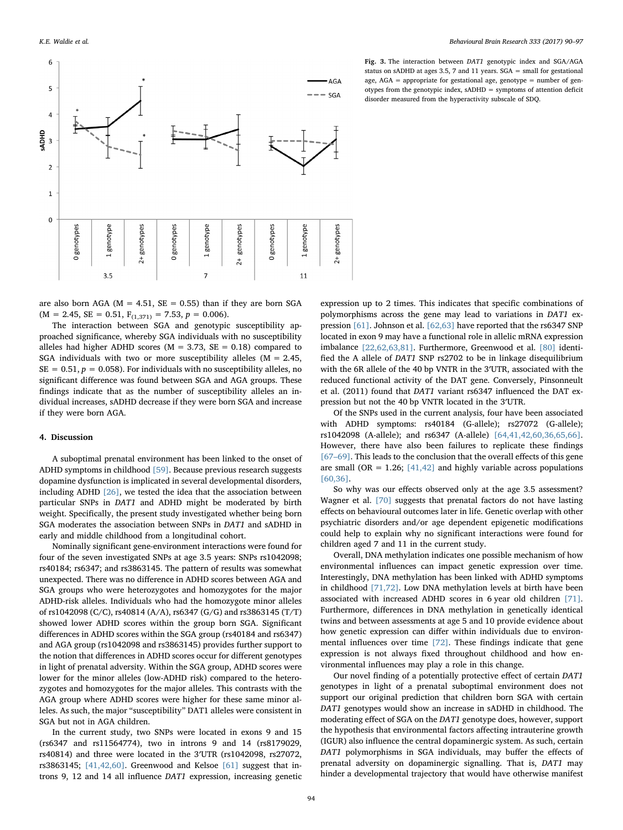<span id="page-4-0"></span>

Fig. 3. The interaction between DAT1 genotypic index and SGA/AGA status on sADHD at ages 3.5, 7 and 11 years. SGA = small for gestational age, AGA = appropriate for gestational age, genotype = number of genotypes from the genotypic index, sADHD = symptoms of attention deficit disorder measured from the hyperactivity subscale of SDQ.

are also born AGA ( $M = 4.51$ ,  $SE = 0.55$ ) than if they are born SGA  $(M = 2.45, SE = 0.51, F<sub>(1,371)</sub> = 7.53, p = 0.006).$ 

The interaction between SGA and genotypic susceptibility approached significance, whereby SGA individuals with no susceptibility alleles had higher ADHD scores ( $M = 3.73$ ,  $SE = 0.18$ ) compared to SGA individuals with two or more susceptibility alleles  $(M = 2.45,$  $SE = 0.51, p = 0.058$ . For individuals with no susceptibility alleles, no significant difference was found between SGA and AGA groups. These findings indicate that as the number of susceptibility alleles an individual increases, sADHD decrease if they were born SGA and increase if they were born AGA.

## 4. Discussion

A suboptimal prenatal environment has been linked to the onset of ADHD symptoms in childhood [\[59\].](#page-7-9) Because previous research suggests dopamine dysfunction is implicated in several developmental disorders, including ADHD [\[26\]](#page-6-22), we tested the idea that the association between particular SNPs in DAT1 and ADHD might be moderated by birth weight. Specifically, the present study investigated whether being born SGA moderates the association between SNPs in DAT1 and sADHD in early and middle childhood from a longitudinal cohort.

Nominally significant gene-environment interactions were found for four of the seven investigated SNPs at age 3.5 years: SNPs rs1042098; rs40184; rs6347; and rs3863145. The pattern of results was somewhat unexpected. There was no difference in ADHD scores between AGA and SGA groups who were heterozygotes and homozygotes for the major ADHD-risk alleles. Individuals who had the homozygote minor alleles of rs1042098 (C/C), rs40814 (A/A), rs6347 (G/G) and rs3863145 (T/T) showed lower ADHD scores within the group born SGA. Significant differences in ADHD scores within the SGA group (rs40184 and rs6347) and AGA group (rs1042098 and rs3863145) provides further support to the notion that differences in ADHD scores occur for different genotypes in light of prenatal adversity. Within the SGA group, ADHD scores were lower for the minor alleles (low-ADHD risk) compared to the heterozygotes and homozygotes for the major alleles. This contrasts with the AGA group where ADHD scores were higher for these same minor alleles. As such, the major "susceptibility" DAT1 alleles were consistent in SGA but not in AGA children.

In the current study, two SNPs were located in exons 9 and 15 (rs6347 and rs11564774), two in introns 9 and 14 (rs8179029, rs40814) and three were located in the 3′UTR (rs1042098, rs27072, rs3863145; [\[41,42,60\]](#page-6-36). Greenwood and Kelsoe [\[61\]](#page-7-10) suggest that introns 9, 12 and 14 all influence DAT1 expression, increasing genetic

expression up to 2 times. This indicates that specific combinations of polymorphisms across the gene may lead to variations in DAT1 expression [\[61\]](#page-7-10). Johnson et al. [\[62,63\]](#page-7-11) have reported that the rs6347 SNP located in exon 9 may have a functional role in allelic mRNA expression imbalance [\[22,62,63,81\]](#page-6-18). Furthermore, Greenwood et al. [\[80\]](#page-7-12) identified the A allele of DAT1 SNP rs2702 to be in linkage disequilibrium with the 6R allele of the 40 bp VNTR in the 3′UTR, associated with the reduced functional activity of the DAT gene. Conversely, Pinsonneult et al. (2011) found that DAT1 variant rs6347 influenced the DAT expression but not the 40 bp VNTR located in the 3′UTR.

Of the SNPs used in the current analysis, four have been associated with ADHD symptoms: rs40184 (G-allele); rs27072 (G-allele); rs1042098 (A-allele); and rs6347 (A-allele) [\[64,41,42,60,36,65,66\]](#page-7-13). However, there have also been failures to replicate these findings [67–[69\]](#page-7-14). This leads to the conclusion that the overall effects of this gene are small (OR =  $1.26$ ; [\[41,42\]](#page-6-36) and highly variable across populations [\[60,36\].](#page-7-15)

So why was our effects observed only at the age 3.5 assessment? Wagner et al. [\[70\]](#page-7-16) suggests that prenatal factors do not have lasting effects on behavioural outcomes later in life. Genetic overlap with other psychiatric disorders and/or age dependent epigenetic modifications could help to explain why no significant interactions were found for children aged 7 and 11 in the current study.

Overall, DNA methylation indicates one possible mechanism of how environmental influences can impact genetic expression over time. Interestingly, DNA methylation has been linked with ADHD symptoms in childhood [\[71,72\]](#page-7-17). Low DNA methylation levels at birth have been associated with increased ADHD scores in 6 year old children [\[71\]](#page-7-17). Furthermore, differences in DNA methylation in genetically identical twins and between assessments at age 5 and 10 provide evidence about how genetic expression can differ within individuals due to environmental influences over time [\[72\].](#page-7-18) These findings indicate that gene expression is not always fixed throughout childhood and how environmental influences may play a role in this change.

Our novel finding of a potentially protective effect of certain DAT1 genotypes in light of a prenatal suboptimal environment does not support our original prediction that children born SGA with certain DAT1 genotypes would show an increase in sADHD in childhood. The moderating effect of SGA on the DAT1 genotype does, however, support the hypothesis that environmental factors affecting intrauterine growth (IGUR) also influence the central dopaminergic system. As such, certain DAT1 polymorphisms in SGA individuals, may buffer the effects of prenatal adversity on dopaminergic signalling. That is, DAT1 may hinder a developmental trajectory that would have otherwise manifest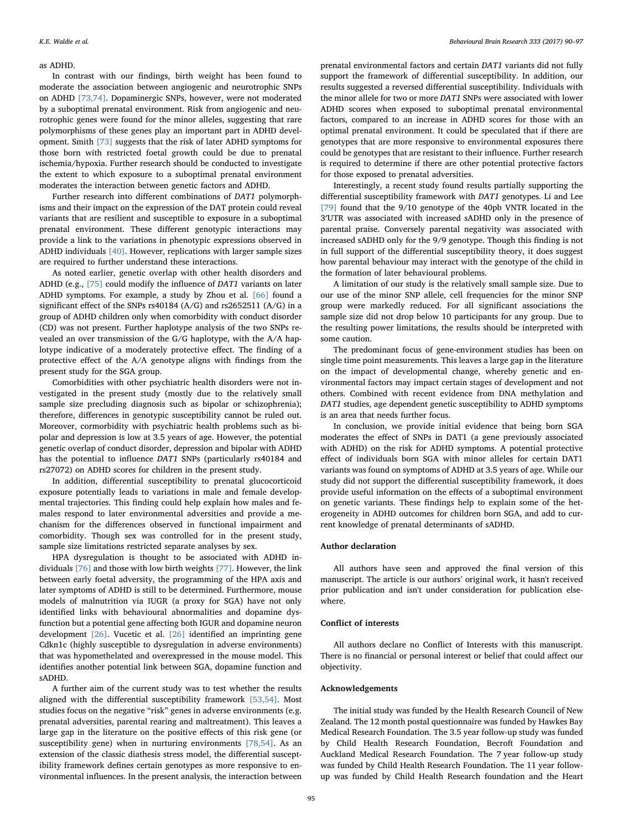#### as ADHD.

In contrast with our findings, birth weight has been found to moderate the association between angiogenic and neurotrophic SNPs on ADHD [\[73,74\]](#page-7-19). Dopaminergic SNPs, however, were not moderated by a suboptimal prenatal environment. Risk from angiogenic and neurotrophic genes were found for the minor alleles, suggesting that rare polymorphisms of these genes play an important part in ADHD development. Smith [\[73\]](#page-7-19) suggests that the risk of later ADHD symptoms for those born with restricted foetal growth could be due to prenatal ischemia/hypoxia. Further research should be conducted to investigate the extent to which exposure to a suboptimal prenatal environment moderates the interaction between genetic factors and ADHD.

Further research into different combinations of DAT1 polymorphisms and their impact on the expression of the DAT protein could reveal variants that are resilient and susceptible to exposure in a suboptimal prenatal environment. These different genotypic interactions may provide a link to the variations in phenotypic expressions observed in ADHD individuals [\[40\].](#page-6-35) However, replications with larger sample sizes are required to further understand these interactions.

As noted earlier, genetic overlap with other health disorders and ADHD (e.g., [\[75\]](#page-7-20) could modify the influence of DAT1 variants on later ADHD symptoms. For example, a study by Zhou et al. [\[66\]](#page-7-21) found a significant effect of the SNPs rs40184 (A/G) and rs2652511 (A/G) in a group of ADHD children only when comorbidity with conduct disorder (CD) was not present. Further haplotype analysis of the two SNPs revealed an over transmission of the G/G haplotype, with the A/A haplotype indicative of a moderately protective effect. The finding of a protective effect of the A/A genotype aligns with findings from the present study for the SGA group.

Comorbidities with other psychiatric health disorders were not investigated in the present study (mostly due to the relatively small sample size precluding diagnosis such as bipolar or schizophrenia); therefore, differences in genotypic susceptibility cannot be ruled out. Moreover, cormorbidity with psychiatric health problems such as bipolar and depression is low at 3.5 years of age. However, the potential genetic overlap of conduct disorder, depression and bipolar with ADHD has the potential to influence DAT1 SNPs (particularly rs40184 and rs27072) on ADHD scores for children in the present study.

In addition, differential susceptibility to prenatal glucocorticoid exposure potentially leads to variations in male and female developmental trajectories. This finding could help explain how males and females respond to later environmental adversities and provide a mechanism for the differences observed in functional impairment and comorbidity. Though sex was controlled for in the present study, sample size limitations restricted separate analyses by sex.

HPA dysregulation is thought to be associated with ADHD individuals [\[76\]](#page-7-22) and those with low birth weights [\[77\].](#page-7-23) However, the link between early foetal adversity, the programming of the HPA axis and later symptoms of ADHD is still to be determined. Furthermore, mouse models of malnutrition via IUGR (a proxy for SGA) have not only identified links with behavioural abnormalities and dopamine dysfunction but a potential gene affecting both IGUR and dopamine neuron development [\[26\].](#page-6-22) Vucetic et al. [\[26\]](#page-6-22) identified an imprinting gene Cdkn1c (highly susceptible to dysregulation in adverse environments) that was hypomethelated and overexpressed in the mouse model. This identifies another potential link between SGA, dopamine function and sADHD.

A further aim of the current study was to test whether the results aligned with the differential susceptibility framework [\[53,54\]](#page-7-5). Most studies focus on the negative "risk" genes in adverse environments (e.g. prenatal adversities, parental rearing and maltreatment). This leaves a large gap in the literature on the positive effects of this risk gene (or susceptibility gene) when in nurturing environments [\[78,54\].](#page-7-24) As an extension of the classic diathesis stress model, the differential susceptibility framework defines certain genotypes as more responsive to environmental influences. In the present analysis, the interaction between

prenatal environmental factors and certain DAT1 variants did not fully support the framework of differential susceptibility. In addition, our results suggested a reversed differential susceptibility. Individuals with the minor allele for two or more DAT1 SNPs were associated with lower ADHD scores when exposed to suboptimal prenatal environmental factors, compared to an increase in ADHD scores for those with an optimal prenatal environment. It could be speculated that if there are genotypes that are more responsive to environmental exposures there could be genotypes that are resistant to their influence. Further research is required to determine if there are other potential protective factors for those exposed to prenatal adversities.

Interestingly, a recent study found results partially supporting the differential susceptibility framework with DAT1 genotypes. Li and Lee [\[79\]](#page-7-25) found that the 9/10 genotype of the 40pb VNTR located in the 3′UTR was associated with increased sADHD only in the presence of parental praise. Conversely parental negativity was associated with increased sADHD only for the 9/9 genotype. Though this finding is not in full support of the differential susceptibility theory, it does suggest how parental behaviour may interact with the genotype of the child in the formation of later behavioural problems.

A limitation of our study is the relatively small sample size. Due to our use of the minor SNP allele, cell frequencies for the minor SNP group were markedly reduced. For all significant associations the sample size did not drop below 10 participants for any group. Due to the resulting power limitations, the results should be interpreted with some caution.

The predominant focus of gene-environment studies has been on single time point measurements. This leaves a large gap in the literature on the impact of developmental change, whereby genetic and environmental factors may impact certain stages of development and not others. Combined with recent evidence from DNA methylation and DAT1 studies, age dependent genetic susceptibility to ADHD symptoms is an area that needs further focus.

In conclusion, we provide initial evidence that being born SGA moderates the effect of SNPs in DAT1 (a gene previously associated with ADHD) on the risk for ADHD symptoms. A potential protective effect of individuals born SGA with minor alleles for certain DAT1 variants was found on symptoms of ADHD at 3.5 years of age. While our study did not support the differential susceptibility framework, it does provide useful information on the effects of a suboptimal environment on genetic variants. These findings help to explain some of the heterogeneity in ADHD outcomes for children born SGA, and add to current knowledge of prenatal determinants of sADHD.

## Author declaration

All authors have seen and approved the final version of this manuscript. The article is our authors' original work, it hasn't received prior publication and isn't under consideration for publication elsewhere.

## Conflict of interests

All authors declare no Conflict of Interests with this manuscript. There is no financial or personal interest or belief that could affect our objectivity.

## Acknowledgements

The initial study was funded by the Health Research Council of New Zealand. The 12 month postal questionnaire was funded by Hawkes Bay Medical Research Foundation. The 3.5 year follow-up study was funded by Child Health Research Foundation, Becroft Foundation and Auckland Medical Research Foundation. The 7 year follow-up study was funded by Child Health Research Foundation. The 11 year followup was funded by Child Health Research foundation and the Heart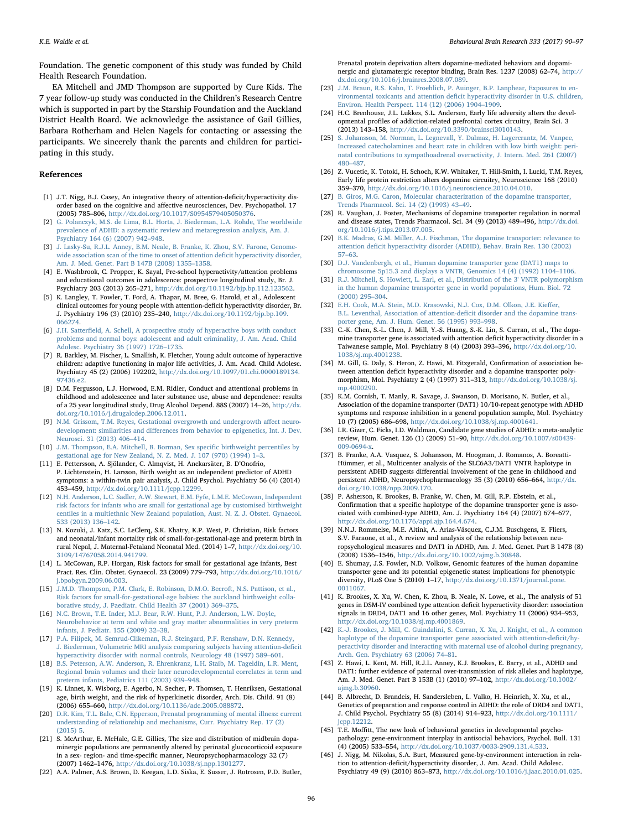Foundation. The genetic component of this study was funded by Child Health Research Foundation.

EA Mitchell and JMD Thompson are supported by Cure Kids. The 7 year follow-up study was conducted in the Children's Research Centre which is supported in part by the Starship Foundation and the Auckland District Health Board. We acknowledge the assistance of Gail Gillies, Barbara Rotherham and Helen Nagels for contacting or assessing the participants. We sincerely thank the parents and children for participating in this study.

#### References

- <span id="page-6-0"></span>[1] J.T. Nigg, B.J. Casey, An integrative theory of attention-deficit/hyperactivity disorder based on the cognitive and affective neurosciences, Dev. Psychopathol. 17 (2005) 785–806, [http://dx.doi.org/10.1017/S0954579405050376.](http://dx.doi.org/10.1017/S0954579405050376)
- <span id="page-6-1"></span>[2] [G. Polanczyk, M.S. de Lima, B.L. Horta, J. Biederman, L.A. Rohde, The worldwide](http://refhub.elsevier.com/S0166-4328(17)30773-8/sbref0010) [prevalence of ADHD: a systematic review and metaregression analysis, Am. J.](http://refhub.elsevier.com/S0166-4328(17)30773-8/sbref0010) [Psychiatry 164 \(6\) \(2007\) 942](http://refhub.elsevier.com/S0166-4328(17)30773-8/sbref0010)–948.
- <span id="page-6-2"></span>[3] [J. Lasky-Su, R.J.L. Anney, B.M. Neale, B. Franke, K. Zhou, S.V. Farone, Genome](http://refhub.elsevier.com/S0166-4328(17)30773-8/sbref0015)[wide association scan of the time to onset of attention de](http://refhub.elsevier.com/S0166-4328(17)30773-8/sbref0015)ficit hyperactivity disorder, [Am. J. Med. Genet. Part B 147B \(2008\) 1355](http://refhub.elsevier.com/S0166-4328(17)30773-8/sbref0015)–1358.
- <span id="page-6-3"></span>[4] E. Washbrook, C. Propper, K. Sayal, Pre-school hyperactivity/attention problems and educational outcomes in adolescence: prospective longitudinal study, Br. J. Psychiatry 203 (2013) 265–271, [http://dx.doi.org/10.1192/bjp.bp.112.123562.](http://dx.doi.org/10.1192/bjp.bp.112.123562)
- <span id="page-6-4"></span>[5] K. Langley, T. Fowler, T. Ford, A. Thapar, M. Bree, G. Harold, et al., Adolescent clinical outcomes for young people with attention-deficit hyperactivity disorder, Br. J. Psychiatry 196 (3) (2010) 235–240, [http://dx.doi.org/10.1192/bjp.bp.109.](http://dx.doi.org/10.1192/bjp.bp.109.066274) [066274.](http://dx.doi.org/10.1192/bjp.bp.109.066274)
- <span id="page-6-5"></span>[6] J.H. Satterfi[eld, A. Schell, A prospective study of hyperactive boys with conduct](http://refhub.elsevier.com/S0166-4328(17)30773-8/sbref0030) [problems and normal boys: adolescent and adult criminality, J. Am. Acad. Child](http://refhub.elsevier.com/S0166-4328(17)30773-8/sbref0030) [Adolesc. Psychiatry 36 \(1997\) 1726](http://refhub.elsevier.com/S0166-4328(17)30773-8/sbref0030)–1735.
- <span id="page-6-6"></span>[7] R. Barkley, M. Fischer, L. Smallish, K. Fletcher, Young adult outcome of hyperactive children: adaptive functioning in major life activities, J. Am. Acad. Child Adolesc. Psychiatry 45 (2) (2006) 192202, [http://dx.doi.org/10.1097/01.chi.0000189134.](http://dx.doi.org/10.1097/01.chi.0000189134.97436.e2) [97436.e2.](http://dx.doi.org/10.1097/01.chi.0000189134.97436.e2)
- <span id="page-6-7"></span>[8] D.M. Fergusson, L.J. Horwood, E.M. Ridler, Conduct and attentional problems in childhood and adolescence and later substance use, abuse and dependence: results of a 25 year longitudinal study, Drug Alcohol Depend. 88S (2007) 14–26, [http://dx.](http://dx.doi.org/10.1016/j.drugalcdep.2006.12.011) [doi.org/10.1016/j.drugalcdep.2006.12.011.](http://dx.doi.org/10.1016/j.drugalcdep.2006.12.011)
- <span id="page-6-8"></span>[9] [N.M. Grissom, T.M. Reyes, Gestational overgrowth and undergrowth a](http://refhub.elsevier.com/S0166-4328(17)30773-8/sbref0045)ffect neurodevelopment: similarities and diff[erences from behavior to epigenetics, Int. J. Dev.](http://refhub.elsevier.com/S0166-4328(17)30773-8/sbref0045) [Neurosci. 31 \(2013\) 406](http://refhub.elsevier.com/S0166-4328(17)30773-8/sbref0045)–414.
- <span id="page-6-9"></span>[10] [J.M. Thompson, E.A. Mitchell, B. Borman, Sex speci](http://refhub.elsevier.com/S0166-4328(17)30773-8/sbref0050)fic birthweight percentiles by [gestational age for New Zealand, N. Z. Med. J. 107 \(970\) \(1994\) 1](http://refhub.elsevier.com/S0166-4328(17)30773-8/sbref0050)–3.
- <span id="page-6-10"></span>[11] E. Pettersson, A. Sjölander, C. Almqvist, H. Anckarsäter, B. D'Onofrio, P. Lichtenstein, H. Larsson, Birth weight as an independent predictor of ADHD symptoms: a within-twin pair analysis, J. Child Psychol. Psychiatry 56 (4) (2014) 453–459, [http://dx.doi.org/10.1111/jcpp.12299.](http://dx.doi.org/10.1111/jcpp.12299)
- <span id="page-6-11"></span>[12] [N.H. Anderson, L.C. Sadler, A.W. Stewart, E.M. Fyfe, L.M.E. McCowan, Independent](http://refhub.elsevier.com/S0166-4328(17)30773-8/sbref0060) [risk factors for infants who are small for gestational age by customised birthweight](http://refhub.elsevier.com/S0166-4328(17)30773-8/sbref0060) [centiles in a multiethnic New Zealand population, Aust. N. Z. J. Obstet. Gynaecol.](http://refhub.elsevier.com/S0166-4328(17)30773-8/sbref0060) [533 \(2013\) 136](http://refhub.elsevier.com/S0166-4328(17)30773-8/sbref0060)–142.
- [13] N. Kozuki, J. Katz, S.C. LeClerq, S.K. Khatry, K.P. West, P. Christian, Risk factors and neonatal/infant mortality risk of small-for-gestational-age and preterm birth in rural Nepal, J. Maternal-Fetaland Neonatal Med. (2014) 1–7, [http://dx.doi.org/10.](http://dx.doi.org/10.3109/14767058.2014.941799) [3109/14767058.2014.941799.](http://dx.doi.org/10.3109/14767058.2014.941799)
- [14] L. McCowan, R.P. Horgan, Risk factors for small for gestational age infants, Best Pract. Res. Clin. Obstet. Gynaecol. 23 (2009) 779–793, [http://dx.doi.org/10.1016/](http://dx.doi.org/10.1016/j.bpobgyn.2009.06.003) [j.bpobgyn.2009.06.003.](http://dx.doi.org/10.1016/j.bpobgyn.2009.06.003)
- <span id="page-6-39"></span>[15] [J.M.D. Thompson, P.M. Clark, E. Robinson, D.M.O. Becroft, N.S. Pattison, et al.,](http://refhub.elsevier.com/S0166-4328(17)30773-8/sbref0075) [Risk factors for small-for-gestational-age babies: the auckland birthweight colla](http://refhub.elsevier.com/S0166-4328(17)30773-8/sbref0075)[borative study, J. Paediatr. Child Health 37 \(2001\) 369](http://refhub.elsevier.com/S0166-4328(17)30773-8/sbref0075)–375.
- <span id="page-6-12"></span>[16] [N.C. Brown, T.E. Inder, M.J. Bear, R.W. Hunt, P.J. Anderson, L.W. Doyle,](http://refhub.elsevier.com/S0166-4328(17)30773-8/sbref0080) [Neurobehavior at term and white and gray matter abnormalities in very preterm](http://refhub.elsevier.com/S0166-4328(17)30773-8/sbref0080) [infants, J. Pediatr. 155 \(2009\) 32](http://refhub.elsevier.com/S0166-4328(17)30773-8/sbref0080)–38.
- <span id="page-6-13"></span>[17] [P.A. Filipek, M. Semrud-Clikeman, R.J. Steingard, P.F. Renshaw, D.N. Kennedy,](http://refhub.elsevier.com/S0166-4328(17)30773-8/sbref0085) [J. Biederman, Volumetric MRI analysis comparing subjects having attention-de](http://refhub.elsevier.com/S0166-4328(17)30773-8/sbref0085)ficit [hyperactivity disorder with normal controls, Neurology 48 \(1997\) 589](http://refhub.elsevier.com/S0166-4328(17)30773-8/sbref0085)–601.
- <span id="page-6-14"></span>[18] [B.S. Peterson, A.W. Anderson, R. Ehrenkranz, L.H. Staib, M. Tageldin, L.R. Ment,](http://refhub.elsevier.com/S0166-4328(17)30773-8/sbref0090) [Regional brain volumes and their later neurodevelopmental correlates in term and](http://refhub.elsevier.com/S0166-4328(17)30773-8/sbref0090) [preterm infants, Pediatrics 111 \(2003\) 939](http://refhub.elsevier.com/S0166-4328(17)30773-8/sbref0090)–948.
- <span id="page-6-15"></span>[19] K. Linnet, K. Wisborg, E. Agerbo, N. Secher, P. Thomsen, T. Henriksen, Gestational age, birth weight, and the risk of hyperkinetic disorder, Arch. Dis. Child. 91 (8) (2006) 655–660, [http://dx.doi.org/10.1136/adc.2005.088872.](http://dx.doi.org/10.1136/adc.2005.088872)
- <span id="page-6-16"></span>[20] [D.R. Kim, T.L. Bale, C.N. Epperson, Prenatal programming of mental illness: current](http://refhub.elsevier.com/S0166-4328(17)30773-8/sbref0100) [understanding of relationship and mechanisms, Curr. Psychiatry Rep. 17 \(2\)](http://refhub.elsevier.com/S0166-4328(17)30773-8/sbref0100) [\(2015\) 5.](http://refhub.elsevier.com/S0166-4328(17)30773-8/sbref0100)
- <span id="page-6-17"></span>[21] S. McArthur, E. McHale, G.E. Gillies, The size and distribution of midbrain dopaminergic populations are permanently altered by perinatal glucocorticoid exposure in a sex- region- and time-specific manner, Neuropsychopharmacology 32 (7) (2007) 1462–1476, [http://dx.doi.org/10.1038/sj.npp.1301277.](http://dx.doi.org/10.1038/sj.npp.1301277)
- <span id="page-6-18"></span>[22] A.A. Palmer, A.S. Brown, D. Keegan, L.D. Siska, E. Susser, J. Rotrosen, P.D. Butler,

Prenatal protein deprivation alters dopamine-mediated behaviors and dopaminergic and glutamatergic receptor binding, Brain Res. 1237 (2008) 62–74, [http://](http://dx.doi.org/10.1016/j.brainres.2008.07.089) [dx.doi.org/10.1016/j.brainres.2008.07.089.](http://dx.doi.org/10.1016/j.brainres.2008.07.089)

- <span id="page-6-19"></span>[23] [J.M. Braun, R.S. Kahn, T. Froehlich, P. Auinger, B.P. Lanphear, Exposures to en](http://refhub.elsevier.com/S0166-4328(17)30773-8/sbref0115)vironmental toxicants and attention defi[cit hyperactivity disorder in U.S. children,](http://refhub.elsevier.com/S0166-4328(17)30773-8/sbref0115) [Environ. Health Perspect. 114 \(12\) \(2006\) 1904](http://refhub.elsevier.com/S0166-4328(17)30773-8/sbref0115)–1909.
- <span id="page-6-20"></span>[24] H.C. Brenhouse, J.L. Lukkes, S.L. Andersen, Early life adversity alters the developmental profiles of addiction-related prefrontal cortex circuitry, Brain Sci. 3 (2013) 143–158, [http://dx.doi.org/10.3390/brainsci3010143.](http://dx.doi.org/10.3390/brainsci3010143)
- <span id="page-6-21"></span>[25] [S. Johansson, M. Norman, L. Legnevall, Y. Dalmaz, H. Lagercrantz, M. Vanpee,](http://refhub.elsevier.com/S0166-4328(17)30773-8/sbref0125) [Increased catecholamines and heart rate in children with low birth weight: peri](http://refhub.elsevier.com/S0166-4328(17)30773-8/sbref0125)[natal contributions to sympathoadrenal overactivity, J. Intern. Med. 261 \(2007\)](http://refhub.elsevier.com/S0166-4328(17)30773-8/sbref0125) 480–[487.](http://refhub.elsevier.com/S0166-4328(17)30773-8/sbref0125)
- <span id="page-6-22"></span>[26] Z. Vucetic, K. Totoki, H. Schoch, K.W. Whitaker, T. Hill-Smith, I. Lucki, T.M. Reyes, Early life protein restriction alters dopamine circuitry, Neuroscience 168 (2010) 359–370, [http://dx.doi.org/10.1016/j.neuroscience.2010.04.010.](http://dx.doi.org/10.1016/j.neuroscience.2010.04.010)
- <span id="page-6-23"></span>[27] B. [Giros, M.G. Caron, Molecular characterization of the dopamine transporter,](http://refhub.elsevier.com/S0166-4328(17)30773-8/sbref0135) [Trends Pharmacol. Sci. 14 \(2\) \(1993\) 43](http://refhub.elsevier.com/S0166-4328(17)30773-8/sbref0135)–49.
- <span id="page-6-24"></span>[28] R. Vaughan, J. Foster, Mechanisms of dopamine transporter regulation in normal and disease states, Trends Pharmacol. Sci. 34 (9) (2013) 489–496, [http://dx.doi.](http://dx.doi.org/10.1016/j.tips.2013.07.005) [org/10.1016/j.tips.2013.07.005.](http://dx.doi.org/10.1016/j.tips.2013.07.005)
- <span id="page-6-25"></span>[29] [B.K. Madras, G.M. Miller, A.J. Fischman, The dopamine transporter: relevance to](http://refhub.elsevier.com/S0166-4328(17)30773-8/sbref0145) attention defi[cit hyperactivity disorder \(ADHD\), Behav. Brain Res. 130 \(2002\)](http://refhub.elsevier.com/S0166-4328(17)30773-8/sbref0145) 57–[63.](http://refhub.elsevier.com/S0166-4328(17)30773-8/sbref0145)
- <span id="page-6-26"></span>[30] [D.J. Vandenbergh, et al., Human dopamine transporter gene \(DAT1\) maps to](http://refhub.elsevier.com/S0166-4328(17)30773-8/sbref0150) [chromosome 5p15.3 and displays a VNTR, Genomics 14 \(4\) \(1992\) 1104](http://refhub.elsevier.com/S0166-4328(17)30773-8/sbref0150)–1106.
- <span id="page-6-27"></span>[31] [R.J. Mitchell, S. Howlett, L. Earl, et al., Distribution of the 3' VNTR polymorphism](http://refhub.elsevier.com/S0166-4328(17)30773-8/sbref0155) [in the human dopamine transporter gene in world populations, Hum. Biol. 72](http://refhub.elsevier.com/S0166-4328(17)30773-8/sbref0155) [\(2000\) 295](http://refhub.elsevier.com/S0166-4328(17)30773-8/sbref0155)–304.
- <span id="page-6-28"></span>[32] [E.H. Cook, M.A. Stein, M.D. Krasowski, N.J. Cox, D.M. Olkon, J.E. Kie](http://refhub.elsevier.com/S0166-4328(17)30773-8/sbref0160)ffer, [B.L. Leventhal, Association of attention-de](http://refhub.elsevier.com/S0166-4328(17)30773-8/sbref0160)ficit disorder and the dopamine trans[porter gene, Am. J. Hum. Genet. 56 \(1995\) 993](http://refhub.elsevier.com/S0166-4328(17)30773-8/sbref0160)–998.
- <span id="page-6-29"></span>[33] C.-K. Chen, S.-L. Chen, J. Mill, Y.-S. Huang, S.-K. Lin, S. Curran, et al., The dopamine transporter gene is associated with attention deficit hyperactivity disorder in a Taiwanese sample, Mol. Psychiatry 8 (4) (2003) 393–396, [http://dx.doi.org/10.](http://dx.doi.org/10.1038/sj.mp.4001238) [1038/sj.mp.4001238.](http://dx.doi.org/10.1038/sj.mp.4001238)
- [34] M. Gill, G. Daly, S. Heron, Z. Hawi, M. Fitzgerald, Confirmation of association between attention deficit hyperactivity disorder and a dopamine transporter polymorphism, Mol. Psychiatry 2 (4) (1997) 311–313, [http://dx.doi.org/10.1038/sj.](http://dx.doi.org/10.1038/sj.mp.4000290) [mp.4000290.](http://dx.doi.org/10.1038/sj.mp.4000290)
- <span id="page-6-30"></span>[35] K.M. Cornish, T. Manly, R. Savage, J. Swanson, D. Morisano, N. Butler, et al., Association of the dopamine transporter (DAT1) 10/10-repeat genotype with ADHD symptoms and response inhibition in a general population sample, Mol. Psychiatry 10 (7) (2005) 686–698, [http://dx.doi.org/10.1038/sj.mp.4001641.](http://dx.doi.org/10.1038/sj.mp.4001641)
- <span id="page-6-31"></span>[36] I.R. Gizer, C. Ficks, I.D. Waldman, Candidate gene studies of ADHD: a meta-analytic review, Hum. Genet. 126 (1) (2009) 51–90, [http://dx.doi.org/10.1007/s00439-](http://dx.doi.org/10.1007/s00439-009-0694-x) [009-0694-x.](http://dx.doi.org/10.1007/s00439-009-0694-x)
- <span id="page-6-32"></span>[37] B. Franke, A.A. Vasquez, S. Johansson, M. Hoogman, J. Romanos, A. Boreatti-Hümmer, et al., Multicenter analysis of the SLC6A3/DAT1 VNTR haplotype in persistent ADHD suggests differential involvement of the gene in childhood and persistent ADHD, Neuropsychopharmacology 35 (3) (2010) 656–664, [http://dx.](http://dx.doi.org/10.1038/npp.2009.170) [doi.org/10.1038/npp.2009.170.](http://dx.doi.org/10.1038/npp.2009.170)
- <span id="page-6-33"></span>[38] P. Asherson, K. Brookes, B. Franke, W. Chen, M. Gill, R.P. Ebstein, et al., Confirmation that a specific haplotype of the dopamine transporter gene is associated with combined-type ADHD, Am. J. Psychiatry 164 (4) (2007) 674–677, [http://dx.doi.org/10.1176/appi.ajp.164.4.674.](http://dx.doi.org/10.1176/appi.ajp.164.4.674)
- <span id="page-6-34"></span>[39] N.N.J. Rommelse, M.E. Altink, A. Arias-Vásquez, C.J.M. Buschgens, E. Fliers, S.V. Faraone, et al., A review and analysis of the relationship between neuropsychological measures and DAT1 in ADHD, Am. J. Med. Genet. Part B 147B (8) (2008) 1536–1546, [http://dx.doi.org/10.1002/ajmg.b.30848.](http://dx.doi.org/10.1002/ajmg.b.30848)
- <span id="page-6-35"></span>[40] E. Shumay, J.S. Fowler, N.D. Volkow, Genomic features of the human dopamine transporter gene and its potential epigenetic states: implications for phenotypic diversity, PLoS One 5 (2010) 1–17, [http://dx.doi.org/10.1371/journal.pone.](http://dx.doi.org/10.1371/journal.pone.0011067) [0011067.](http://dx.doi.org/10.1371/journal.pone.0011067)
- <span id="page-6-36"></span>[41] K. Brookes, X. Xu, W. Chen, K. Zhou, B. Neale, N. Lowe, et al., The analysis of 51 genes in DSM-IV combined type attention deficit hyperactivity disorder: association signals in DRD4, DAT1 and 16 other genes, Mol. Psychiatry 11 (2006) 934–953, [http://dx.doi.org/10.1038/sj.mp.4001869.](http://dx.doi.org/10.1038/sj.mp.4001869)
- [42] [K.-J. Brookes, J. Mill, C. Guindalini, S. Curran, X. Xu, J. Knight, et al., A common](http://refhub.elsevier.com/S0166-4328(17)30773-8/sbref0210) [haplotype of the dopamine transporter gene associated with attention-de](http://refhub.elsevier.com/S0166-4328(17)30773-8/sbref0210)ficit/hy[peractivity disorder and interacting with maternal use of alcohol during pregnancy,](http://refhub.elsevier.com/S0166-4328(17)30773-8/sbref0210) [Arch. Gen. Psychiatry 63 \(2006\) 74](http://refhub.elsevier.com/S0166-4328(17)30773-8/sbref0210)–81.
- [43] Z. Hawi, L. Kent, M. Hill, R.J.L. Anney, K.J. Brookes, E. Barry, et al., ADHD and DAT1: further evidence of paternal over-transmission of risk alleles and haplotype, Am. J. Med. Genet. Part B 153B (1) (2010) 97–102, [http://dx.doi.org/10.1002/](http://dx.doi.org/10.1002/ajmg.b.30960) [ajmg.b.30960.](http://dx.doi.org/10.1002/ajmg.b.30960)
- <span id="page-6-37"></span>[44] B. Albrecht, D. Brandeis, H. Sandersleben, L. Valko, H. Heinrich, X. Xu, et al., Genetics of preparation and response control in ADHD: the role of DRD4 and DAT1, J. Child Psychol. Psychiatry 55 (8) (2014) 914–923, [http://dx.doi.org/10.1111/](http://dx.doi.org/10.1111/jcpp.12212) [jcpp.12212.](http://dx.doi.org/10.1111/jcpp.12212)
- <span id="page-6-38"></span>[45] T.E. Moffitt, The new look of behavioral genetics in developmental psychopathology: gene-environment interplay in antisocial behaviors, Psychol. Bull. 131 (4) (2005) 533–554, [http://dx.doi.org/10.1037/0033-2909.131.4.533.](http://dx.doi.org/10.1037/0033-2909.131.4.533)
- [46] J. Nigg, M. Nikolas, S.A. Burt, Measured gene-by-environment interaction in relation to attention-deficit/hyperactivity disorder, J. Am. Acad. Child Adolesc. Psychiatry 49 (9) (2010) 863–873, [http://dx.doi.org/10.1016/j.jaac.2010.01.025.](http://dx.doi.org/10.1016/j.jaac.2010.01.025)